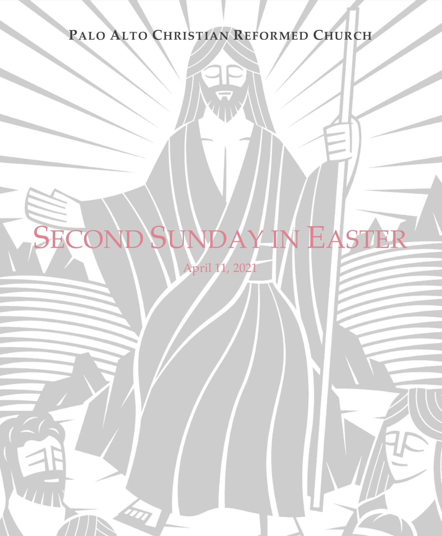# **PALO ALTO CHRISTIAN REFORMED CHURCH**

# SECOND SUNDAY IN EASTE

April 11, 2021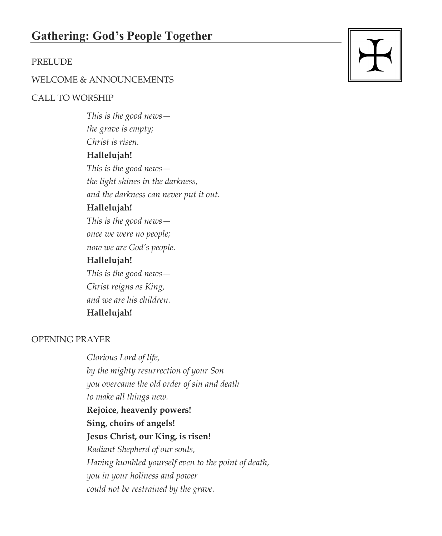#### PRELUDE

#### WELCOME & ANNOUNCEMENTS

#### CALL TO WORSHIP

*This is the good news the grave is empty; Christ is risen.* **Hallelujah!** *This is the good news the light shines in the darkness, and the darkness can never put it out.*

#### **Hallelujah!**

*This is the good news once we were no people; now we are God's people.*

#### **Hallelujah!**

*This is the good news— Christ reigns as King, and we are his children.* **Hallelujah!**

#### OPENING PRAYER

*Glorious Lord of life, by the mighty resurrection of your Son you overcame the old order of sin and death to make all things new.* **Rejoice, heavenly powers! Sing, choirs of angels! Jesus Christ, our King, is risen!** *Radiant Shepherd of our souls, Having humbled yourself even to the point of death, you in your holiness and power could not be restrained by the grave.*

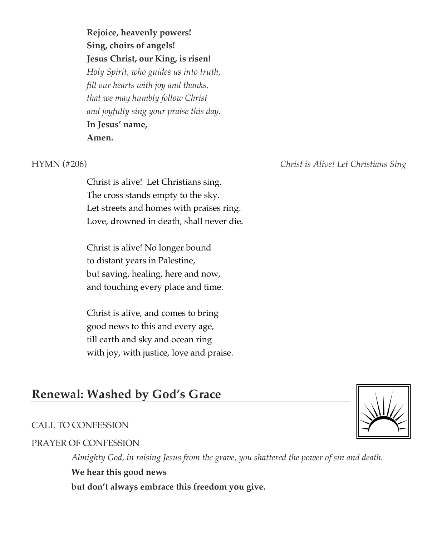**Rejoice, heavenly powers! Sing, choirs of angels! Jesus Christ, our King, is risen!** *Holy Spirit, who guides us into truth, fill our hearts with joy and thanks, that we may humbly follow Christ and joyfully sing your praise this day.* **In Jesus' name, Amen.**

Christ is alive! Let Christians sing. The cross stands empty to the sky. Let streets and homes with praises ring. Love, drowned in death, shall never die.

Christ is alive! No longer bound to distant years in Palestine, but saving, healing, here and now, and touching every place and time.

Christ is alive, and comes to bring good news to this and every age, till earth and sky and ocean ring with joy, with justice, love and praise.

HYMN (#206) *Christ is Alive! Let Christians Sing*

## **Renewal: Washed by God's Grace**

#### CALL TO CONFESSION

#### PRAYER OF CONFESSION

*Almighty God, in raising Jesus from the grave, you shattered the power of sin and death.*

#### **We hear this good news**

**but don't always embrace this freedom you give.**

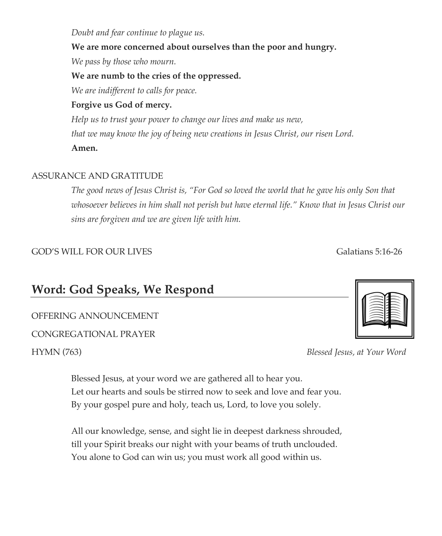*Doubt and fear continue to plague us.*

#### **We are more concerned about ourselves than the poor and hungry.**

*We pass by those who mourn.*

#### **We are numb to the cries of the oppressed.**

*We are indifferent to calls for peace.*

### **Forgive us God of mercy.**

*Help us to trust your power to change our lives and make us new, that we may know the joy of being new creations in Jesus Christ, our risen Lord.*  **Amen.**

### ASSURANCE AND GRATITUDE

*The good news of Jesus Christ is, "For God so loved the world that he gave his only Son that whosoever believes in him shall not perish but have eternal life." Know that in Jesus Christ our sins are forgiven and we are given life with him.*

## GOD'S WILL FOR OUR LIVES GALACTER GALACTER GALACTERS GALACTERS

# **Word: God Speaks, We Respond**

#### OFFERING ANNOUNCEMENT

CONGREGATIONAL PRAYER

HYMN (763) *Blessed Jesus, at Your Word*

Blessed Jesus, at your word we are gathered all to hear you. Let our hearts and souls be stirred now to seek and love and fear you. By your gospel pure and holy, teach us, Lord, to love you solely.

All our knowledge, sense, and sight lie in deepest darkness shrouded, till your Spirit breaks our night with your beams of truth unclouded. You alone to God can win us; you must work all good within us.

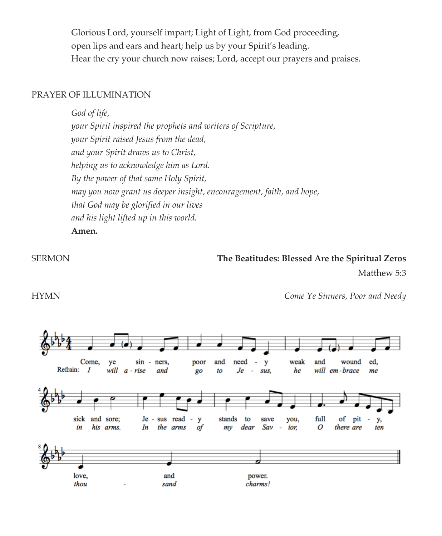Glorious Lord, yourself impart; Light of Light, from God proceeding, open lips and ears and heart; help us by your Spirit's leading. Hear the cry your church now raises; Lord, accept our prayers and praises.

#### PRAYER OF ILLUMINATION

*God of life, your Spirit inspired the prophets and writers of Scripture, your Spirit raised Jesus from the dead, and your Spirit draws us to Christ, helping us to acknowledge him as Lord. By the power of that same Holy Spirit, may you now grant us deeper insight, encouragement, faith, and hope, that God may be glorified in our lives and his light lifted up in this world.* **Amen***.*

SERMON **The Beatitudes: Blessed Are the Spiritual Zeros**

Matthew 5:3

HYMN *Come Ye Sinners, Poor and Needy*

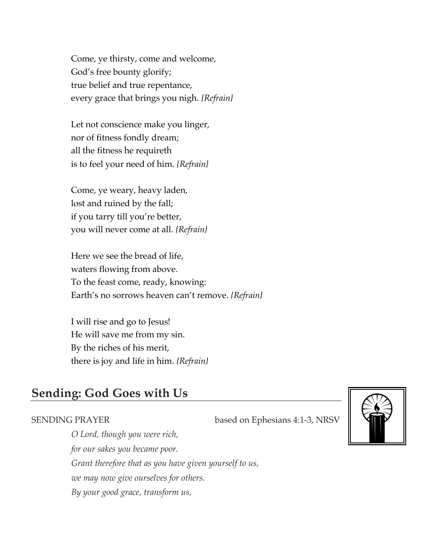Come, ye thirsty, come and welcome, God's free bounty glorify; true belief and true repentance, every grace that brings you nigh. *{Refrain}*

Let not conscience make you linger, nor of fitness fondly dream; all the fitness he requireth is to feel your need of him. *{Refrain}*

Come, ye weary, heavy laden, lost and ruined by the fall; if you tarry till you're better, you will never come at all. *{Refrain}*

Here we see the bread of life, waters flowing from above. To the feast come, ready, knowing: Earth's no sorrows heaven can't remove. *{Refrain}*

I will rise and go to Jesus! He will save me from my sin. By the riches of his merit, there is joy and life in him. *{Refrain}*

## **Sending: God Goes with Us**

SENDING PRAYER based on Ephesians 4:1-3, NRSV

*O Lord, though you were rich, for our sakes you became poor. Grant therefore that as you have given yourself to us, we may now give ourselves for others. By your good grace, transform us,* 

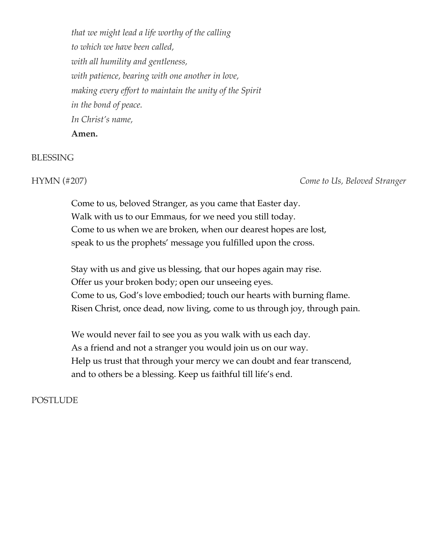*that we might lead a life worthy of the calling to which we have been called, with all humility and gentleness, with patience, bearing with one another in love, making every effort to maintain the unity of the Spirit in the bond of peace. In Christ's name,* **Amen.**

#### BLESSING

HYMN (#207) *Come to Us, Beloved Stranger*

Come to us, beloved Stranger, as you came that Easter day. Walk with us to our Emmaus, for we need you still today. Come to us when we are broken, when our dearest hopes are lost, speak to us the prophets' message you fulfilled upon the cross.

Stay with us and give us blessing, that our hopes again may rise. Offer us your broken body; open our unseeing eyes. Come to us, God's love embodied; touch our hearts with burning flame. Risen Christ, once dead, now living, come to us through joy, through pain.

We would never fail to see you as you walk with us each day. As a friend and not a stranger you would join us on our way. Help us trust that through your mercy we can doubt and fear transcend, and to others be a blessing. Keep us faithful till life's end.

#### POSTLUDE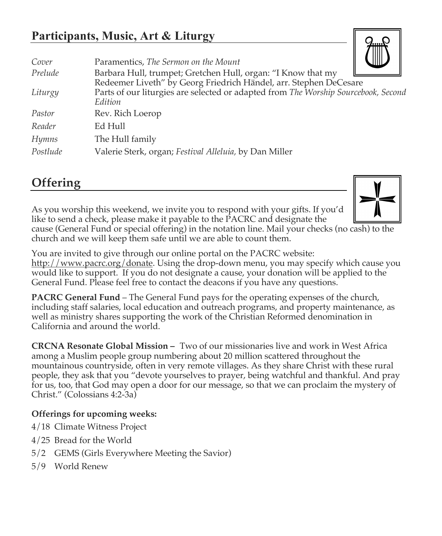# **Participants, Music, Art & Liturgy**

| Cover    | Paramentics, The Sermon on the Mount                                               |
|----------|------------------------------------------------------------------------------------|
| Prelude  | Barbara Hull, trumpet; Gretchen Hull, organ: "I Know that my                       |
|          | Redeemer Liveth" by Georg Friedrich Händel, arr. Stephen DeCesare                  |
| Liturgy  | Parts of our liturgies are selected or adapted from The Worship Sourcebook, Second |
|          | Edition                                                                            |
| Pastor   | Rev. Rich Loerop                                                                   |
| Reader   | Ed Hull                                                                            |
| Hymns    | The Hull family                                                                    |
| Postlude | Valerie Sterk, organ; Festival Alleluia, by Dan Miller                             |

# **Offering**

As you worship this weekend, we invite you to respond with your gifts. If you'd like to send a check, please make it payable to the PACRC and designate the cause (General Fund or special offering) in the notation line. Mail your checks (no cash) to the church and we will keep them safe until we are able to count them.

You are invited to give through our online portal on the PACRC website: http://www.pacrc.org/donate. Using the drop-down menu, you may specify which cause you would like to support. If you do not designate a cause, your donation will be applied to the General Fund. Please feel free to contact the deacons if you have any questions.

**PACRC General Fund** – The General Fund pays for the operating expenses of the church, including staff salaries, local education and outreach programs, and property maintenance, as well as ministry shares supporting the work of the Christian Reformed denomination in California and around the world.

**CRCNA Resonate Global Mission –** Two of our missionaries live and work in West Africa among a Muslim people group numbering about 20 million scattered throughout the mountainous countryside, often in very remote villages. As they share Christ with these rural people, they ask that you "devote yourselves to prayer, being watchful and thankful. And pray for us, too, that God may open a door for our message, so that we can proclaim the mystery of Christ." (Colossians 4:2-3a)

## **Offerings for upcoming weeks:**

- 4/18 Climate Witness Project
- 4/25 Bread for the World
- 5/2 GEMS (Girls Everywhere Meeting the Savior)
- 5/9 World Renew